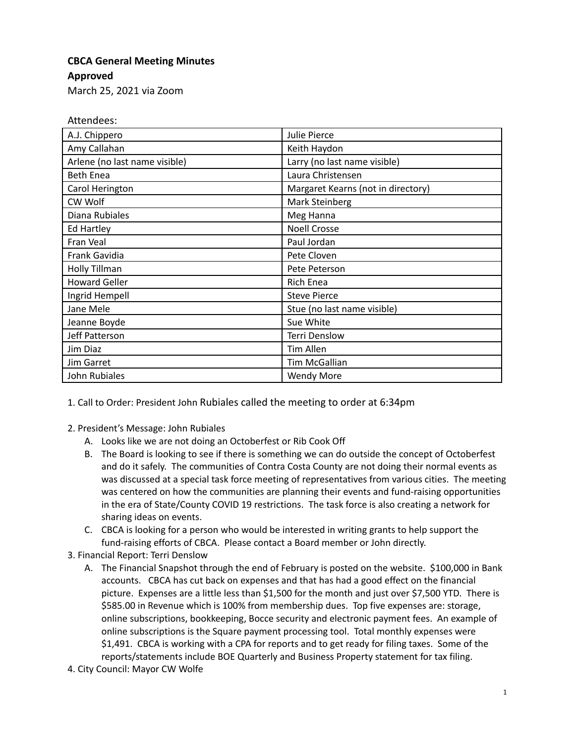## **CBCA General Meeting Minutes**

**Approved**

March 25, 2021 via Zoom

Attendees:

| A.J. Chippero                 | Julie Pierce                       |
|-------------------------------|------------------------------------|
| Amy Callahan                  | Keith Haydon                       |
| Arlene (no last name visible) | Larry (no last name visible)       |
| <b>Beth Enea</b>              | Laura Christensen                  |
| Carol Herington               | Margaret Kearns (not in directory) |
| CW Wolf                       | Mark Steinberg                     |
| Diana Rubiales                | Meg Hanna                          |
| Ed Hartley                    | <b>Noell Crosse</b>                |
| Fran Veal                     | Paul Jordan                        |
| Frank Gavidia                 | Pete Cloven                        |
| Holly Tillman                 | Pete Peterson                      |
| <b>Howard Geller</b>          | <b>Rich Enea</b>                   |
| Ingrid Hempell                | <b>Steve Pierce</b>                |
| Jane Mele                     | Stue (no last name visible)        |
| Jeanne Boyde                  | Sue White                          |
| Jeff Patterson                | <b>Terri Denslow</b>               |
| Jim Diaz                      | <b>Tim Allen</b>                   |
| <b>Jim Garret</b>             | Tim McGallian                      |
| John Rubiales                 | <b>Wendy More</b>                  |

1. Call to Order: President John Rubiales called the meeting to order at 6:34pm

- 2. President's Message: John Rubiales
	- A. Looks like we are not doing an Octoberfest or Rib Cook Off
	- B. The Board is looking to see if there is something we can do outside the concept of Octoberfest and do it safely. The communities of Contra Costa County are not doing their normal events as was discussed at a special task force meeting of representatives from various cities. The meeting was centered on how the communities are planning their events and fund-raising opportunities in the era of State/County COVID 19 restrictions. The task force is also creating a network for sharing ideas on events.
	- C. CBCA is looking for a person who would be interested in writing grants to help support the fund-raising efforts of CBCA. Please contact a Board member or John directly.
- 3. Financial Report: Terri Denslow
	- A. The Financial Snapshot through the end of February is posted on the website. \$100,000 in Bank accounts. CBCA has cut back on expenses and that has had a good effect on the financial picture. Expenses are a little less than \$1,500 for the month and just over \$7,500 YTD. There is \$585.00 in Revenue which is 100% from membership dues. Top five expenses are: storage, online subscriptions, bookkeeping, Bocce security and electronic payment fees. An example of online subscriptions is the Square payment processing tool. Total monthly expenses were \$1,491. CBCA is working with a CPA for reports and to get ready for filing taxes. Some of the reports/statements include BOE Quarterly and Business Property statement for tax filing.
- 4. City Council: Mayor CW Wolfe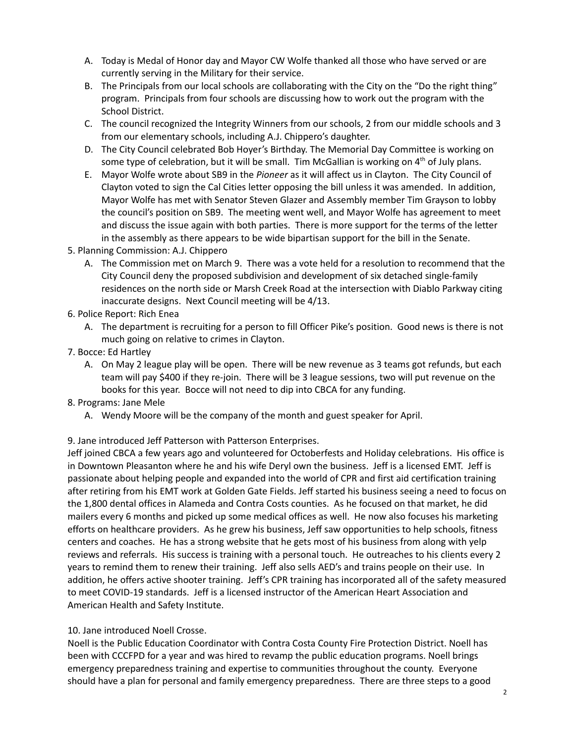- A. Today is Medal of Honor day and Mayor CW Wolfe thanked all those who have served or are currently serving in the Military for their service.
- B. The Principals from our local schools are collaborating with the City on the "Do the right thing" program. Principals from four schools are discussing how to work out the program with the School District.
- C. The council recognized the Integrity Winners from our schools, 2 from our middle schools and 3 from our elementary schools, including A.J. Chippero's daughter.
- D. The City Council celebrated Bob Hoyer's Birthday. The Memorial Day Committee is working on some type of celebration, but it will be small. Tim McGallian is working on  $4<sup>th</sup>$  of July plans.
- E. Mayor Wolfe wrote about SB9 in the *Pioneer* as it will affect us in Clayton. The City Council of Clayton voted to sign the Cal Cities letter opposing the bill unless it was amended. In addition, Mayor Wolfe has met with Senator Steven Glazer and Assembly member Tim Grayson to lobby the council's position on SB9. The meeting went well, and Mayor Wolfe has agreement to meet and discuss the issue again with both parties. There is more support for the terms of the letter in the assembly as there appears to be wide bipartisan support for the bill in the Senate.
- 5. Planning Commission: A.J. Chippero
	- A. The Commission met on March 9. There was a vote held for a resolution to recommend that the City Council deny the proposed subdivision and development of six detached single-family residences on the north side or Marsh Creek Road at the intersection with Diablo Parkway citing inaccurate designs. Next Council meeting will be 4/13.
- 6. Police Report: Rich Enea
	- A. The department is recruiting for a person to fill Officer Pike's position. Good news is there is not much going on relative to crimes in Clayton.
- 7. Bocce: Ed Hartley
	- A. On May 2 league play will be open. There will be new revenue as 3 teams got refunds, but each team will pay \$400 if they re-join. There will be 3 league sessions, two will put revenue on the books for this year. Bocce will not need to dip into CBCA for any funding.
- 8. Programs: Jane Mele
	- A. Wendy Moore will be the company of the month and guest speaker for April.

9. Jane introduced Jeff Patterson with Patterson Enterprises.

Jeff joined CBCA a few years ago and volunteered for Octoberfests and Holiday celebrations. His office is in Downtown Pleasanton where he and his wife Deryl own the business. Jeff is a licensed EMT. Jeff is passionate about helping people and expanded into the world of CPR and first aid certification training after retiring from his EMT work at Golden Gate Fields. Jeff started his business seeing a need to focus on the 1,800 dental offices in Alameda and Contra Costs counties. As he focused on that market, he did mailers every 6 months and picked up some medical offices as well. He now also focuses his marketing efforts on healthcare providers. As he grew his business, Jeff saw opportunities to help schools, fitness centers and coaches. He has a strong website that he gets most of his business from along with yelp reviews and referrals. His success is training with a personal touch. He outreaches to his clients every 2 years to remind them to renew their training. Jeff also sells AED's and trains people on their use. In addition, he offers active shooter training. Jeff's CPR training has incorporated all of the safety measured to meet COVID-19 standards. Jeff is a licensed instructor of the American Heart Association and American Health and Safety Institute.

## 10. Jane introduced Noell Crosse.

Noell is the Public Education Coordinator with Contra Costa County Fire Protection District. Noell has been with CCCFPD for a year and was hired to revamp the public education programs. Noell brings emergency preparedness training and expertise to communities throughout the county. Everyone should have a plan for personal and family emergency preparedness. There are three steps to a good